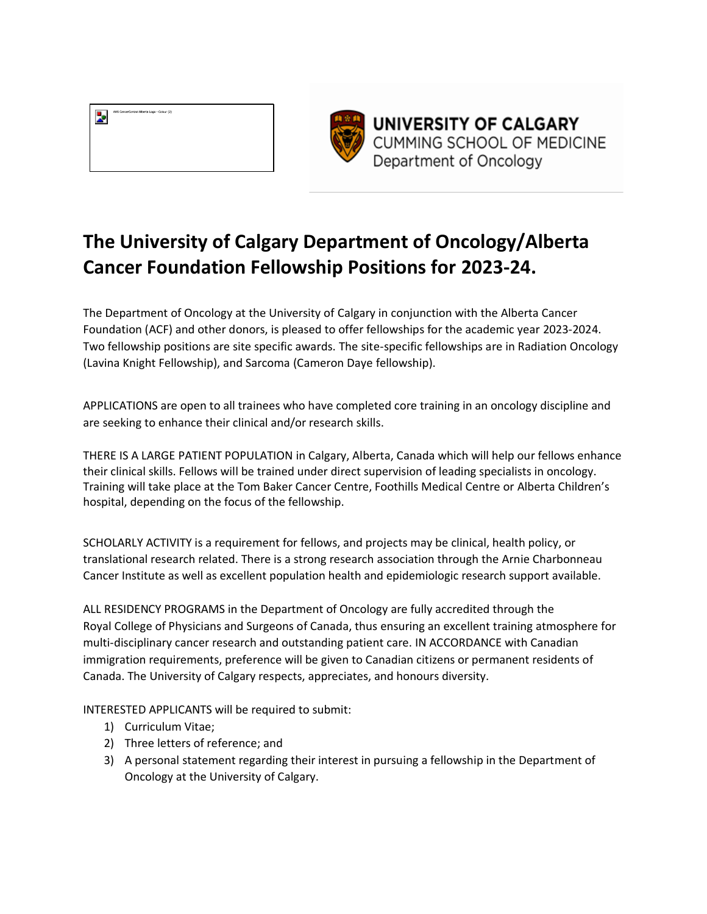



UNIVERSITY OF CALGARY **CUMMING SCHOOL OF MEDICINE** Department of Oncology

## **The University of Calgary Department of Oncology/Alberta Cancer Foundation Fellowship Positions for 2023-24.**

The Department of Oncology at the University of Calgary in conjunction with the Alberta Cancer Foundation (ACF) and other donors, is pleased to offer fellowships for the academic year 2023-2024. Two fellowship positions are site specific awards. The site-specific fellowships are in Radiation Oncology (Lavina Knight Fellowship), and Sarcoma (Cameron Daye fellowship).

APPLICATIONS are open to all trainees who have completed core training in an oncology discipline and are seeking to enhance their clinical and/or research skills.

THERE IS A LARGE PATIENT POPULATION in Calgary, Alberta, Canada which will help our fellows enhance their clinical skills. Fellows will be trained under direct supervision of leading specialists in oncology. Training will take place at the Tom Baker Cancer Centre, Foothills Medical Centre or Alberta Children's hospital, depending on the focus of the fellowship.

SCHOLARLY ACTIVITY is a requirement for fellows, and projects may be clinical, health policy, or translational research related. There is a strong research association through the Arnie Charbonneau Cancer Institute as well as excellent population health and epidemiologic research support available.

ALL RESIDENCY PROGRAMS in the Department of Oncology are fully accredited through the Royal College of Physicians and Surgeons of Canada, thus ensuring an excellent training atmosphere for multi-disciplinary cancer research and outstanding patient care. IN ACCORDANCE with Canadian immigration requirements, preference will be given to Canadian citizens or permanent residents of Canada. The University of Calgary respects, appreciates, and honours diversity.

INTERESTED APPLICANTS will be required to submit:

- 1) Curriculum Vitae;
- 2) Three letters of reference; and
- 3) A personal statement regarding their interest in pursuing a fellowship in the Department of Oncology at the University of Calgary.